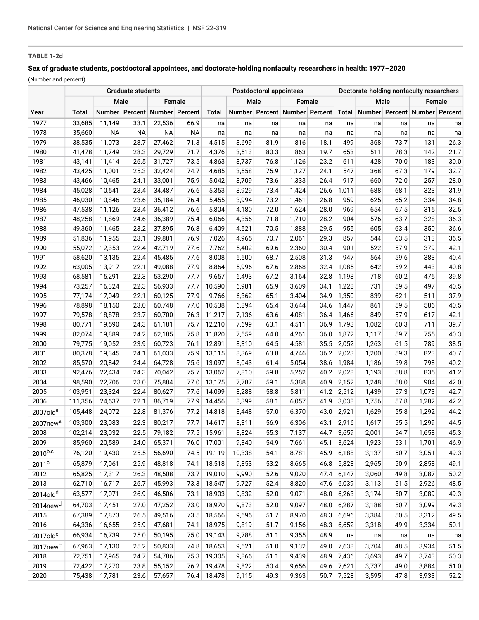# **TABLE 1-2d**

## **Sex of graduate students, postdoctoral appointees, and doctorate-holding nonfaculty researchers in health: 1977–2020**

(Number and percent)

|                      |         | Postdoctoral appointees |           |                               |           |             |        | Doctorate-holding nonfaculty researchers |                               |      |              |       |      |                               |      |
|----------------------|---------|-------------------------|-----------|-------------------------------|-----------|-------------|--------|------------------------------------------|-------------------------------|------|--------------|-------|------|-------------------------------|------|
|                      |         | Male                    |           |                               | Female    |             | Male   |                                          | Female                        |      |              | Male  |      | Female                        |      |
| Year                 | Total   |                         |           | Number Percent Number Percent |           | Total       |        |                                          | Number Percent Number Percent |      | Total        |       |      | Number Percent Number Percent |      |
| 1977                 | 33,685  | 11,149                  | 33.1      | 22,536                        | 66.9      | na          | na     | na                                       | na                            | na   | na           | na    | na   | na                            | na   |
| 1978                 | 35,660  | <b>NA</b>               | <b>NA</b> | <b>NA</b>                     | <b>NA</b> | na          | na     | na                                       | na                            | na   | na           | na    | na   | na                            | na   |
| 1979                 | 38,535  | 11,073                  | 28.7      | 27,462                        | 71.3      | 4,515       | 3,699  | 81.9                                     | 816                           | 18.1 | 499          | 368   | 73.7 | 131                           | 26.3 |
| 1980                 | 41,478  | 11,749                  | 28.3      | 29,729                        | 71.7      | 4,376       | 3,513  | 80.3                                     | 863                           | 19.7 | 653          | 511   | 78.3 | 142                           | 21.7 |
| 1981                 | 43,141  | 11,414                  | 26.5      | 31,727                        | 73.5      | 4,863       | 3,737  | 76.8                                     | 1,126                         | 23.2 | 611          | 428   | 70.0 | 183                           | 30.0 |
| 1982                 | 43,425  | 11,001                  | 25.3      | 32,424                        | 74.7      | 4,685       | 3,558  | 75.9                                     | 1,127                         | 24.1 | 547          | 368   | 67.3 | 179                           | 32.7 |
| 1983                 | 43,466  | 10,465                  | 24.1      | 33,001                        | 75.9      | 5,042       | 3,709  | 73.6                                     | 1,333                         | 26.4 | 917          | 660   | 72.0 | 257                           | 28.0 |
| 1984                 | 45,028  | 10,541                  | 23.4      | 34,487                        | 76.6      | 5,353       | 3,929  | 73.4                                     | 1,424                         | 26.6 | 1,011        | 688   | 68.1 | 323                           | 31.9 |
| 1985                 | 46,030  | 10,846                  | 23.6      | 35,184                        | 76.4      | 5,455       | 3,994  | 73.2                                     | 1,461                         | 26.8 | 959          | 625   | 65.2 | 334                           | 34.8 |
| 1986                 | 47,538  | 11,126                  | 23.4      | 36,412                        | 76.6      | 5,804       | 4,180  | 72.0                                     | 1,624                         | 28.0 | 969          | 654   | 67.5 | 315                           | 32.5 |
| 1987                 | 48,258  | 11,869                  | 24.6      | 36,389                        | 75.4      | 6,066       | 4,356  | 71.8                                     | 1,710                         | 28.2 | 904          | 576   | 63.7 | 328                           | 36.3 |
| 1988                 | 49,360  | 11,465                  | 23.2      | 37,895                        | 76.8      | 6,409       | 4,521  | 70.5                                     | 1,888                         | 29.5 | 955          | 605   | 63.4 | 350                           | 36.6 |
| 1989                 | 51,836  | 11,955                  | 23.1      | 39,881                        | 76.9      | 7,026       | 4,965  | 70.7                                     | 2,061                         | 29.3 | 857          | 544   | 63.5 | 313                           | 36.5 |
| 1990                 | 55,072  | 12,353                  | 22.4      | 42,719                        | 77.6      | 7,762       | 5,402  | 69.6                                     | 2,360                         | 30.4 | 901          | 522   | 57.9 | 379                           | 42.1 |
| 1991                 | 58,620  | 13,135                  | 22.4      | 45,485                        | 77.6      | 8,008       | 5,500  | 68.7                                     | 2,508                         | 31.3 | 947          | 564   | 59.6 | 383                           | 40.4 |
| 1992                 | 63,005  | 13,917                  | 22.1      | 49,088                        | 77.9      | 8,864       | 5,996  | 67.6                                     | 2,868                         | 32.4 | 1,085        | 642   | 59.2 | 443                           | 40.8 |
| 1993                 | 68,581  | 15,291                  | 22.3      | 53,290                        | 77.7      | 9,657       | 6,493  | 67.2                                     | 3,164                         | 32.8 | 1,193        | 718   | 60.2 | 475                           | 39.8 |
| 1994                 | 73,257  | 16,324                  | 22.3      | 56,933                        | 77.7      | 10,590      | 6,981  | 65.9                                     | 3,609                         | 34.1 | 1,228        | 731   | 59.5 | 497                           | 40.5 |
| 1995                 | 77,174  | 17,049                  | 22.1      | 60,125                        | 77.9      | 9,766       | 6,362  | 65.1                                     | 3,404                         | 34.9 | 1,350        | 839   | 62.1 | 511                           | 37.9 |
| 1996                 | 78,898  | 18,150                  | 23.0      | 60,748                        | 77.0      | 10,538      | 6,894  | 65.4                                     | 3,644                         | 34.6 | 1,447        | 861   | 59.5 | 586                           | 40.5 |
| 1997                 | 79,578  | 18,878                  | 23.7      | 60,700                        | 76.3      | 11,217      | 7,136  | 63.6                                     | 4,081                         | 36.4 | 1,466        | 849   | 57.9 | 617                           | 42.1 |
| 1998                 | 80,771  | 19,590                  | 24.3      | 61,181                        | 75.7      | 12,210      | 7,699  | 63.1                                     | 4,511                         | 36.9 | 1,793        | 1,082 | 60.3 | 711                           | 39.7 |
| 1999                 | 82,074  | 19,889                  | 24.2      | 62,185                        | 75.8      | 11,820      | 7,559  | 64.0                                     | 4,261                         | 36.0 | 1,872        | 1,117 | 59.7 | 755                           | 40.3 |
| 2000                 | 79,775  | 19,052                  | 23.9      | 60,723                        | 76.1      | 12,891      | 8,310  | 64.5                                     | 4,581                         | 35.5 | 2,052        | 1,263 | 61.5 | 789                           | 38.5 |
| 2001                 | 80,378  | 19,345                  | 24.1      | 61,033                        | 75.9      | 13,115      | 8,369  | 63.8                                     | 4,746                         | 36.2 | 2,023        | 1,200 | 59.3 | 823                           | 40.7 |
| 2002                 | 85,570  | 20,842                  | 24.4      | 64,728                        | 75.6      | 13,097      | 8,043  | 61.4                                     | 5,054                         | 38.6 | 1,984        | 1,186 | 59.8 | 798                           | 40.2 |
| 2003                 | 92,476  | 22,434                  | 24.3      | 70,042                        | 75.7      | 13,062      | 7,810  | 59.8                                     | 5,252                         | 40.2 | 2,028        | 1,193 | 58.8 | 835                           | 41.2 |
| 2004                 | 98,590  | 22,706                  | 23.0      | 75,884                        | 77.0      | 13,175      | 7,787  | 59.1                                     | 5,388                         | 40.9 | 2,152        | 1,248 | 58.0 | 904                           | 42.0 |
| 2005                 | 103,951 | 23,324                  | 22.4      | 80,627                        | 77.6      | 14,099      | 8,288  | 58.8                                     | 5,811                         | 41.2 | 2,512        | 1,439 | 57.3 | 1,073                         | 42.7 |
| 2006                 | 111,356 | 24,637                  | 22.1      | 86,719                        | 77.9      | 14,456      | 8,399  | 58.1                                     | 6,057                         | 41.9 | 3,038        | 1,756 | 57.8 | 1,282                         | 42.2 |
| 2007old <sup>a</sup> | 105,448 | 24,072                  | 22.8      | 81,376                        | 77.2      | 14,818      | 8,448  | 57.0                                     | 6,370                         | 43.0 | 2,921        | 1,629 | 55.8 | 1,292                         | 44.2 |
| 2007new <sup>a</sup> | 103,300 | 23,083                  | 22.3      | 80,217                        | 77.7      | 14,617      | 8,311  | 56.9                                     | 6,306                         | 43.1 | 2,916        | 1,617 | 55.5 | 1,299                         | 44.5 |
| 2008                 | 102,214 | 23,032                  | 22.5      | 79,182                        |           | 77.5 15,961 | 8,824  | 55.3                                     | 7,137                         | 44.7 | 3,659        | 2,001 | 54.7 | 1,658                         | 45.3 |
| 2009                 | 85,960  | 20,589                  | 24.0      | 65,371                        | 76.0      | 17,001      | 9,340  | 54.9                                     | 7,661                         | 45.1 | 3,624        | 1,923 | 53.1 | 1,701                         | 46.9 |
| $2010^{b,c}$         | 76,120  | 19,430                  | 25.5      | 56,690                        | 74.5      | 19,119      | 10,338 | 54.1                                     | 8,781                         | 45.9 | 6,188        | 3,137 | 50.7 | 3,051                         | 49.3 |
| 2011 <sup>c</sup>    | 65,879  | 17,061                  | 25.9      | 48,818                        | 74.1      | 18,518      | 9,853  | 53.2                                     | 8,665                         | 46.8 | 5,823        | 2,965 | 50.9 | 2,858                         | 49.1 |
| 2012                 | 65,825  | 17,317                  | 26.3      | 48,508                        | 73.7      | 19,010      | 9,990  | 52.6                                     | 9,020                         | 47.4 | 6,147        | 3,060 | 49.8 | 3,087                         | 50.2 |
| 2013                 | 62,710  | 16,717                  | 26.7      | 45,993                        | 73.3      | 18,547      | 9,727  | 52.4                                     | 8,820                         | 47.6 | 6,039        | 3,113 | 51.5 | 2,926                         | 48.5 |
| 2014old <sup>d</sup> | 63,577  | 17,071                  | 26.9      | 46,506                        | 73.1      | 18,903      | 9,832  | 52.0                                     | 9,071                         | 48.0 | 6,263        | 3,174 | 50.7 | 3,089                         | 49.3 |
| 2014new <sup>d</sup> | 64,703  | 17,451                  | 27.0      | 47,252                        | 73.0      | 18,970      | 9,873  | 52.0                                     | 9,097                         | 48.0 | 6,287        | 3,188 | 50.7 | 3,099                         | 49.3 |
| 2015                 | 67,389  | 17,873                  | 26.5      | 49,516                        | 73.5      | 18,566      | 9,596  | 51.7                                     | 8,970                         | 48.3 | 6,696        | 3,384 | 50.5 | 3,312                         | 49.5 |
| 2016                 | 64,336  | 16,655                  | 25.9      | 47,681                        | 74.1      | 18,975      | 9,819  | 51.7                                     | 9,156                         |      |              |       | 49.9 | 3,334                         | 50.1 |
|                      |         |                         |           |                               |           |             |        |                                          |                               | 48.3 | 6,652        | 3,318 |      |                               |      |
| 2017old <sup>e</sup> | 66,934  | 16,739                  | 25.0      | 50,195                        | 75.0      | 19,143      | 9,788  | 51.1                                     | 9,355                         | 48.9 | na           | na    | na   | na                            | na   |
| 2017new <sup>e</sup> | 67,963  | 17,130                  | 25.2      | 50,833                        | 74.8      | 18,653      | 9,521  | 51.0                                     | 9,132                         | 49.0 | 7,638        | 3,704 | 48.5 | 3,934                         | 51.5 |
| 2018                 | 72,751  | 17,965                  | 24.7      | 54,786                        | 75.3      | 19,305      | 9,866  | 51.1                                     | 9,439                         | 48.9 | 7,436        | 3,693 | 49.7 | 3,743                         | 50.3 |
| 2019                 | 72,422  | 17,270                  | 23.8      | 55,152                        | 76.2      | 19,478      | 9,822  | 50.4                                     | 9,656                         | 49.6 | 7,621        | 3,737 | 49.0 | 3,884                         | 51.0 |
| 2020                 | 75,438  | 17,781                  | 23.6      | 57,657                        |           | 76.4 18,478 | 9,115  | 49.3                                     | 9,363                         |      | $50.7$ 7,528 | 3,595 | 47.8 | 3,933                         | 52.2 |